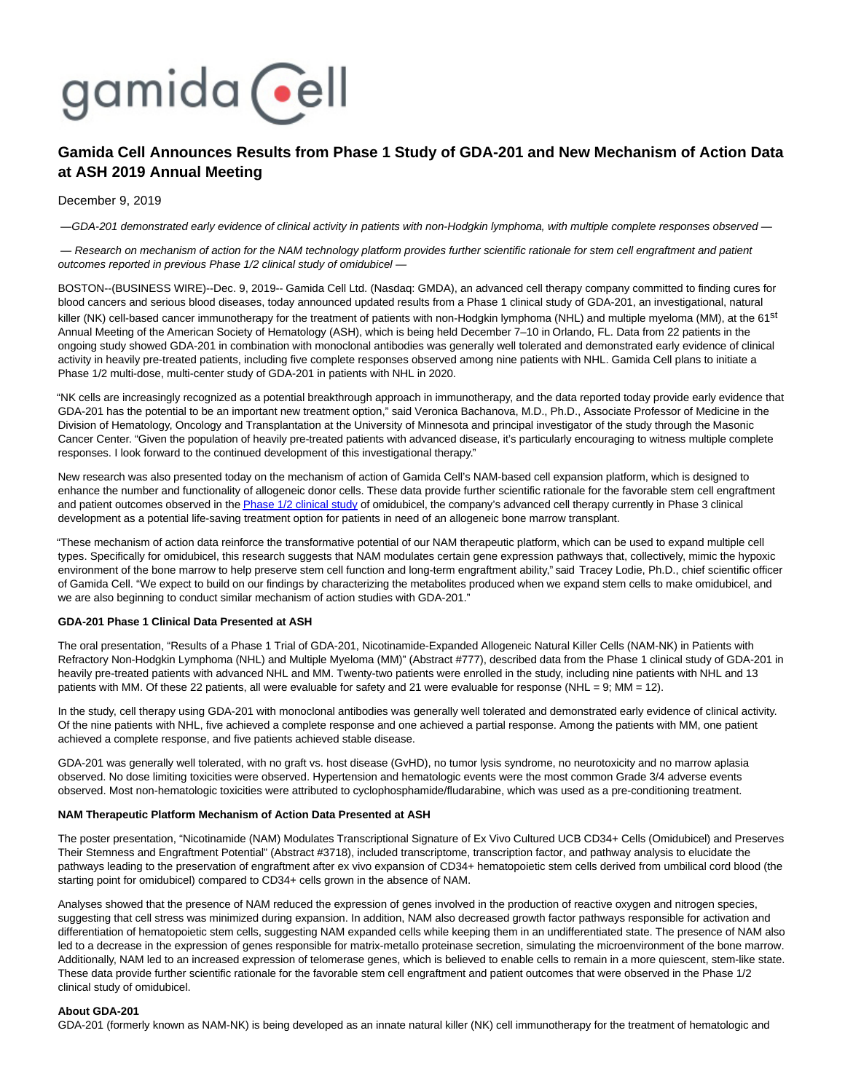# gamida cell

# **Gamida Cell Announces Results from Phase 1 Study of GDA-201 and New Mechanism of Action Data at ASH 2019 Annual Meeting**

# December 9, 2019

— GDA-201 demonstrated early evidence of clinical activity in patients with non-Hodgkin lymphoma, with multiple complete responses observed —

— Research on mechanism of action for the NAM technology platform provides further scientific rationale for stem cell engraftment and patient outcomes reported in previous Phase 1/2 clinical study of omidubicel —

BOSTON--(BUSINESS WIRE)--Dec. 9, 2019-- Gamida Cell Ltd. (Nasdaq: GMDA), an advanced cell therapy company committed to finding cures for blood cancers and serious blood diseases, today announced updated results from a Phase 1 clinical study of GDA-201, an investigational, natural killer (NK) cell-based cancer immunotherapy for the treatment of patients with non-Hodgkin lymphoma (NHL) and multiple myeloma (MM), at the 61<sup>st</sup> Annual Meeting of the American Society of Hematology (ASH), which is being held December 7–10 in Orlando, FL. Data from 22 patients in the ongoing study showed GDA-201 in combination with monoclonal antibodies was generally well tolerated and demonstrated early evidence of clinical activity in heavily pre-treated patients, including five complete responses observed among nine patients with NHL. Gamida Cell plans to initiate a Phase 1/2 multi-dose, multi-center study of GDA-201 in patients with NHL in 2020.

"NK cells are increasingly recognized as a potential breakthrough approach in immunotherapy, and the data reported today provide early evidence that GDA-201 has the potential to be an important new treatment option," said Veronica Bachanova, M.D., Ph.D., Associate Professor of Medicine in the Division of Hematology, Oncology and Transplantation at the University of Minnesota and principal investigator of the study through the Masonic Cancer Center. "Given the population of heavily pre-treated patients with advanced disease, it's particularly encouraging to witness multiple complete responses. I look forward to the continued development of this investigational therapy."

New research was also presented today on the mechanism of action of Gamida Cell's NAM-based cell expansion platform, which is designed to enhance the number and functionality of allogeneic donor cells. These data provide further scientific rationale for the favorable stem cell engraftment and patient outcomes observed in th[e Phase 1/2 clinical study o](https://cts.businesswire.com/ct/CT?id=smartlink&url=https%3A%2F%2Fwww.ncbi.nlm.nih.gov%2Fpubmed%2F30523748&esheet=52142450&newsitemid=20191209005662&lan=en-US&anchor=Phase+1%2F2+clinical+study&index=1&md5=a6152db2c61c51c891f97b0fc32ef886)f omidubicel, the company's advanced cell therapy currently in Phase 3 clinical development as a potential life-saving treatment option for patients in need of an allogeneic bone marrow transplant.

"These mechanism of action data reinforce the transformative potential of our NAM therapeutic platform, which can be used to expand multiple cell types. Specifically for omidubicel, this research suggests that NAM modulates certain gene expression pathways that, collectively, mimic the hypoxic environment of the bone marrow to help preserve stem cell function and long-term engraftment ability," said Tracey Lodie, Ph.D., chief scientific officer of Gamida Cell. "We expect to build on our findings by characterizing the metabolites produced when we expand stem cells to make omidubicel, and we are also beginning to conduct similar mechanism of action studies with GDA-201."

# **GDA-201 Phase 1 Clinical Data Presented at ASH**

The oral presentation, "Results of a Phase 1 Trial of GDA-201, Nicotinamide-Expanded Allogeneic Natural Killer Cells (NAM-NK) in Patients with Refractory Non-Hodgkin Lymphoma (NHL) and Multiple Myeloma (MM)" (Abstract #777), described data from the Phase 1 clinical study of GDA-201 in heavily pre-treated patients with advanced NHL and MM. Twenty-two patients were enrolled in the study, including nine patients with NHL and 13 patients with MM. Of these 22 patients, all were evaluable for safety and 21 were evaluable for response (NHL = 9; MM = 12).

In the study, cell therapy using GDA-201 with monoclonal antibodies was generally well tolerated and demonstrated early evidence of clinical activity. Of the nine patients with NHL, five achieved a complete response and one achieved a partial response. Among the patients with MM, one patient achieved a complete response, and five patients achieved stable disease.

GDA-201 was generally well tolerated, with no graft vs. host disease (GvHD), no tumor lysis syndrome, no neurotoxicity and no marrow aplasia observed. No dose limiting toxicities were observed. Hypertension and hematologic events were the most common Grade 3/4 adverse events observed. Most non-hematologic toxicities were attributed to cyclophosphamide/fludarabine, which was used as a pre-conditioning treatment.

# **NAM Therapeutic Platform Mechanism of Action Data Presented at ASH**

The poster presentation, "Nicotinamide (NAM) Modulates Transcriptional Signature of Ex Vivo Cultured UCB CD34+ Cells (Omidubicel) and Preserves Their Stemness and Engraftment Potential" (Abstract #3718), included transcriptome, transcription factor, and pathway analysis to elucidate the pathways leading to the preservation of engraftment after ex vivo expansion of CD34+ hematopoietic stem cells derived from umbilical cord blood (the starting point for omidubicel) compared to CD34+ cells grown in the absence of NAM.

Analyses showed that the presence of NAM reduced the expression of genes involved in the production of reactive oxygen and nitrogen species, suggesting that cell stress was minimized during expansion. In addition, NAM also decreased growth factor pathways responsible for activation and differentiation of hematopoietic stem cells, suggesting NAM expanded cells while keeping them in an undifferentiated state. The presence of NAM also led to a decrease in the expression of genes responsible for matrix-metallo proteinase secretion, simulating the microenvironment of the bone marrow. Additionally, NAM led to an increased expression of telomerase genes, which is believed to enable cells to remain in a more quiescent, stem-like state. These data provide further scientific rationale for the favorable stem cell engraftment and patient outcomes that were observed in the Phase 1/2 clinical study of omidubicel.

# **About GDA-201**

GDA-201 (formerly known as NAM-NK) is being developed as an innate natural killer (NK) cell immunotherapy for the treatment of hematologic and